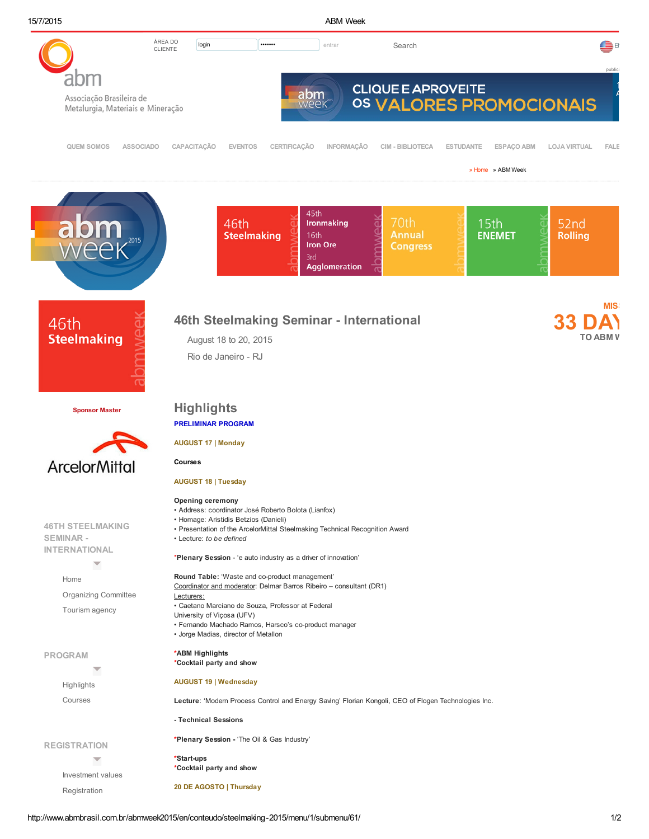